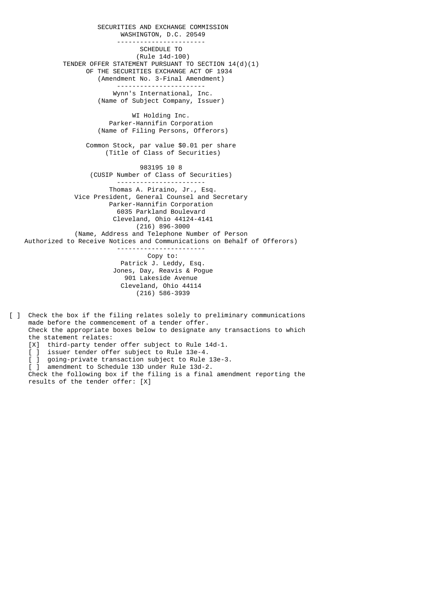SECURITIES AND EXCHANGE COMMISSION WASHINGTON, D.C. 20549 ----------------------- SCHEDULE TO (Rule 14d-100) TENDER OFFER STATEMENT PURSUANT TO SECTION 14(d)(1) OF THE SECURITIES EXCHANGE ACT OF 1934 (Amendment No. 3-Final Amendment) ----------------------- Wynn's International, Inc. (Name of Subject Company, Issuer) WI Holding Inc. Parker-Hannifin Corporation (Name of Filing Persons, Offerors) Common Stock, par value \$0.01 per share (Title of Class of Securities) 983195 10 8 (CUSIP Number of Class of Securities) ----------------------- Thomas A. Piraino, Jr., Esq. Vice President, General Counsel and Secretary Parker-Hannifin Corporation 6035 Parkland Boulevard Cleveland, Ohio 44124-4141 (216) 896-3000 (Name, Address and Telephone Number of Person Authorized to Receive Notices and Communications on Behalf of Offerors) ----------------------- Copy to: Patrick J. Leddy, Esq. Jones, Day, Reavis & Pogue 901 Lakeside Avenue Cleveland, Ohio 44114 (216) 586-3939

- [ ] Check the box if the filing relates solely to preliminary communications made before the commencement of a tender offer. Check the appropriate boxes below to designate any transactions to which the statement relates: [X] third-party tender offer subject to Rule 14d-1.
- [ ] issuer tender offer subject to Rule 13e-4.
- [ ] going-private transaction subject to Rule 13e-3.
- [ ] amendment to Schedule 13D under Rule 13d-2.

 Check the following box if the filing is a final amendment reporting the results of the tender offer: [X]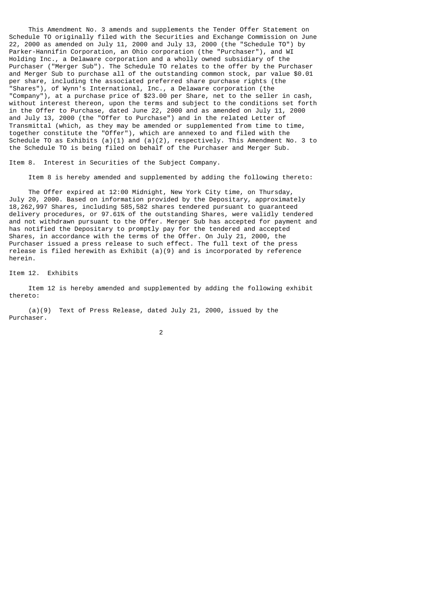This Amendment No. 3 amends and supplements the Tender Offer Statement on Schedule TO originally filed with the Securities and Exchange Commission on June 22, 2000 as amended on July 11, 2000 and July 13, 2000 (the "Schedule TO") by Parker-Hannifin Corporation, an Ohio corporation (the "Purchaser"), and WI Holding Inc., a Delaware corporation and a wholly owned subsidiary of the Purchaser ("Merger Sub"). The Schedule TO relates to the offer by the Purchaser and Merger Sub to purchase all of the outstanding common stock, par value \$0.01 per share, including the associated preferred share purchase rights (the "Shares"), of Wynn's International, Inc., a Delaware corporation (the "Company"), at a purchase price of \$23.00 per Share, net to the seller in cash, without interest thereon, upon the terms and subject to the conditions set forth in the Offer to Purchase, dated June 22, 2000 and as amended on July 11, 2000 and July 13, 2000 (the "Offer to Purchase") and in the related Letter of Transmittal (which, as they may be amended or supplemented from time to time, together constitute the "Offer"), which are annexed to and filed with the Schedule TO as Exhibits  $(a)(1)$  and  $(a)(2)$ , respectively. This Amendment No. 3 to the Schedule TO is being filed on behalf of the Purchaser and Merger Sub.

Item 8. Interest in Securities of the Subject Company.

Item 8 is hereby amended and supplemented by adding the following thereto:

 The Offer expired at 12:00 Midnight, New York City time, on Thursday, July 20, 2000. Based on information provided by the Depositary, approximately 18,262,997 Shares, including 585,582 shares tendered pursuant to guaranteed delivery procedures, or 97.61% of the outstanding Shares, were validly tendered and not withdrawn pursuant to the Offer. Merger Sub has accepted for payment and has notified the Depositary to promptly pay for the tendered and accepted Shares, in accordance with the terms of the Offer. On July 21, 2000, the Purchaser issued a press release to such effect. The full text of the press release is filed herewith as Exhibit (a)(9) and is incorporated by reference herein.

Item 12. Exhibits

 Item 12 is hereby amended and supplemented by adding the following exhibit thereto:

 (a)(9) Text of Press Release, dated July 21, 2000, issued by the Purchaser.

2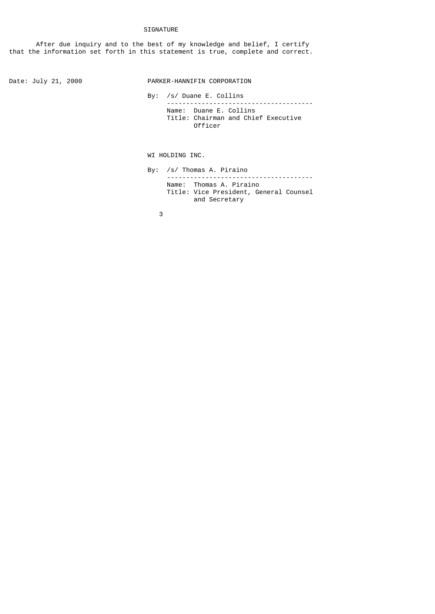## SIGNATURE

 After due inquiry and to the best of my knowledge and belief, I certify that the information set forth in this statement is true, complete and correct.

Date: July 21, 2000 PARKER-HANNIFIN CORPORATION

 By: /s/ Duane E. Collins -------------------------------------- Name: Duane E. Collins Title: Chairman and Chief Executive Officer

WI HOLDING INC.

 By: /s/ Thomas A. Piraino -------------------------------------- Name: Thomas A. Piraino Title: Vice President, General Counsel and Secretary

 $\sim$  3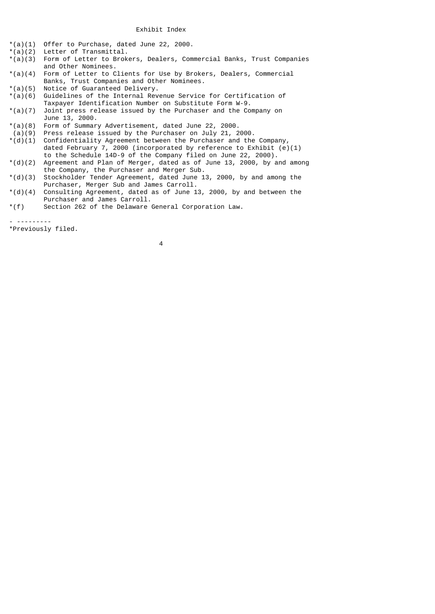- $*(a)(1)$  Offer to Purchase, dated June 22, 2000.<br> $*(a)(2)$  Letter of Transmittal.
- Letter of Transmittal.
- $*(a)(3)$  Form of Letter to Brokers, Dealers, Commercial Banks, Trust Companies and Other Nominees.<br>(a)(4) Form of Letter to C
- Form of Letter to Clients for Use by Brokers, Dealers, Commercial Banks, Trust Companies and Other Nominees.<br>\*(a)(5) Notice of Guaranteed Delivery.
- $*(a)(5)$  Notice of Guaranteed Delivery.<br> $*(a)(6)$  Guidelines of the Internal Rev
- Guidelines of the Internal Revenue Service for Certification of Taxpayer Identification Number on Substitute Form W-9.<br>\*(a)(7) Joint press release issued by the Purchaser and the Co
- Joint press release issued by the Purchaser and the Company on June 13, 2000.
- \*(a)(8) Form of Summary Advertisement, dated June 22, 2000.
- 
- (a)(9) Press release issued by the Purchaser on July 21, 2000.<br>\*(d)(1) Confidentiality Agreement between the Purchaser and the Confidentiality Agreement between the Purchaser and the Company, dated February 7, 2000 (incorporated by reference to Exhibit  $(e)(1)$
- to the Schedule 14D-9 of the Company filed on June 22, 2000).<br>\*(d)(2) Agreement and Plan of Merger, dated as of June 13, 2000, by a Agreement and Plan of Merger, dated as of June 13, 2000, by and among the Company, the Purchaser and Merger Sub.<br>\*(d)(3) Stockholder Tender Agreement, dated June 1
- Stockholder Tender Agreement, dated June 13, 2000, by and among the Purchaser, Merger Sub and James Carroll.<br>\*(d)(4) Consulting Agreement, dated as of June 1
- Consulting Agreement, dated as of June 13, 2000, by and between the  $*(f)$  Purchaser and James Carroll.<br> $*(f)$  Section 262 of the Delaware
- Section 262 of the Delaware General Corporation Law.

- ---------

\*Previously filed.

4